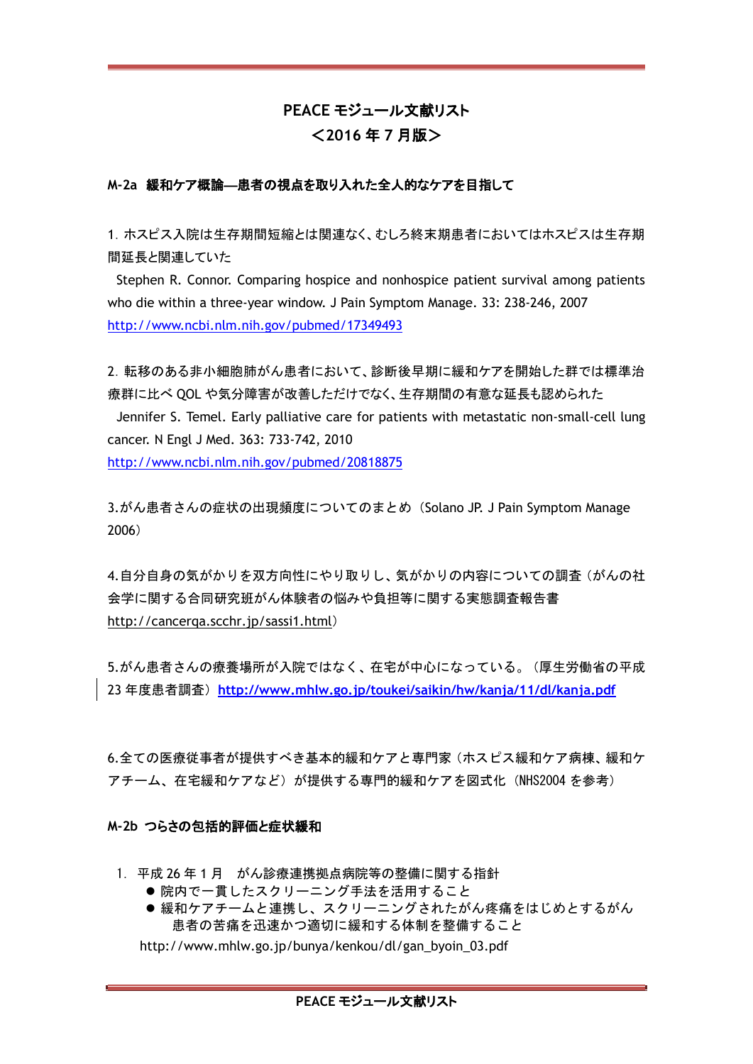# **PEACE** モジュール文献リスト <**2016** 年 **7** 月版>

## **M-2a** 緩和ケア概論―患者の視点を取り入れた全人的なケアを目指して

1.ホスピス入院は生存期間短縮とは関連なく、むしろ終末期患者においてはホスピスは生存期 間延長と関連していた

Stephen R. Connor. Comparing hospice and nonhospice patient survival among patients who die within a three-year window. J Pain Symptom Manage. 33: 238-246, 2007 <http://www.ncbi.nlm.nih.gov/pubmed/17349493>

2.転移のある非小細胞肺がん患者において、診断後早期に緩和ケアを開始した群では標準治 療群に比べ QOL や気分障害が改善しただけでなく、生存期間の有意な延長も認められた

Jennifer S. Temel. Early palliative care for patients with metastatic non-small-cell lung cancer. N Engl J Med. 363: 733-742, 2010

<http://www.ncbi.nlm.nih.gov/pubmed/20818875>

3.がん患者さんの症状の出現頻度についてのまとめ (Solano JP. J Pain Symptom Manage 2006)

4.自分自身の気がかりを双方向性にやり取りし、気がかりの内容についての調査(がんの社 会学に関する合同研究班がん体験者の悩みや負担等に関する実態調査報告書 <http://cancerqa.scchr.jp/sassi1.html>)

5.がん患者さんの療養場所が入院ではなく、在宅が中心になっている。(厚生労働省の平成 23 年度患者調査)**<http://www.mhlw.go.jp/toukei/saikin/hw/kanja/11/dl/kanja.pdf>**

6.全ての医療従事者が提供すべき基本的緩和ケアと専門家(ホスピス緩和ケア病棟、緩和ケ アチーム、在宅緩和ケアなど)が提供する専門的緩和ケアを図式化 (NHS2004 を参考)

### **M-2b** つらさの包括的評価と症状緩和

- 1.平成 26 年 1 月 がん診療連携拠点病院等の整備に関する指針
	- 院内で一貫したスクリーニング手法を活用すること
	- 緩和ケアチームと連携し、スクリーニングされたがん疼痛をはじめとするがん 患者の苦痛を迅速かつ適切に緩和する体制を整備すること

http://www.mhlw.go.jp/bunya/kenkou/dl/gan\_byoin\_03.pdf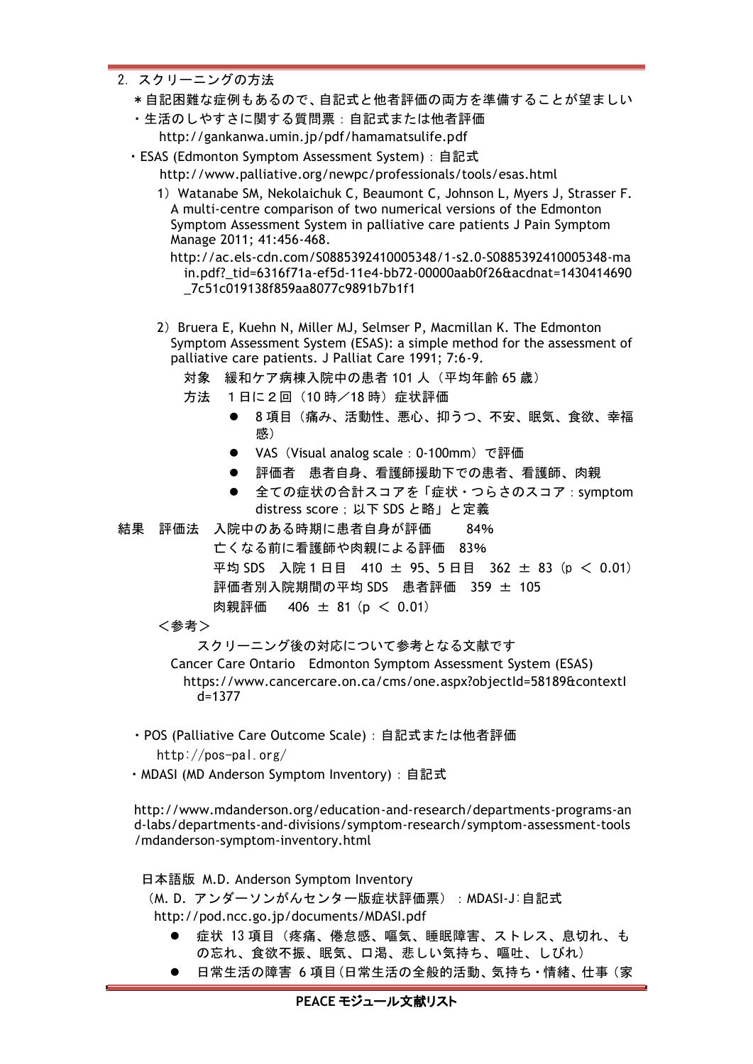- 2.スクリーニングの方法
	- \*自記困難な症例もあるので、自記式と他者評価の両方を準備することが望ましい
	- ・生活のしやすさに関する質問票:自記式または他者評価 http://gankanwa.umin.jp/pdf/hamamatsulife.pdf
	- ・ESAS (Edmonton Symptom Assessment System):自記式 http://www.palliative.org/newpc/professionals/tools/esas.html
		- 1) Watanabe SM, Nekolaichuk C, Beaumont C, Johnson L, Myers J, Strasser F. A multi-centre comparison of two numerical versions of the Edmonton Symptom Assessment System in palliative care patients J Pain Symptom Manage 2011; 41:456-468.

http://ac.els-cdn.com/S0885392410005348/1-s2.0-S0885392410005348-ma in.pdf?\_tid=6316f71a-ef5d-11e4-bb72-00000aab0f26&acdnat=1430414690 \_7c51c019138f859aa8077c9891b7b1f1

- 2) Bruera E, Kuehn N, Miller MJ, Selmser P, Macmillan K. The Edmonton Symptom Assessment System (ESAS): a simple method for the assessment of palliative care patients. J Palliat Care 1991; 7:6-9.
	- 対象 緩和ケア病棟入院中の患者 101 人(平均年齢 65 歳)
	- 方法 1日に2回 (10時/18時) 症状評価
		- 8項目(痛み、活動性、悪心、抑うつ、不安、眠気、食欲、幸福 感)
		- VAS (Visual analog scale: 0-100mm)で評価
		- 評価者 患者自身、看護師援助下での患者、看護師、肉親
		- 全ての症状の合計スコアを「症状·つらさのスコア: symptom distress score;以下 SDS と略」と定義

結果 評価法 入院中のある時期に患者自身が評価 84%

- 亡くなる前に看護師や肉親による評価 83% 平均 SDS 入院 1 日目 410 ± 95、5 日目 362 ± 83 (p < 0.01) 評価者別入院期間の平均 SDS 患者評価 359 ± 105
	- 肉親評価 406 ± 81 (p < 0.01)
- <参考>

スクリーニング後の対応について参考となる文献です

Cancer Care Ontario Edmonton Symptom Assessment System (ESAS) https://www.cancercare.on.ca/cms/one.aspx?objectId=58189&contextI  $d=1377$ 

- ・POS (Palliative Care Outcome Scale):自記式または他者評価 http://pos-pal.org/
- ・MDASI (MD Anderson Symptom Inventory):自記式

http://www.mdanderson.org/education-and-research/departments-programs-an d-labs/departments-and-divisions/symptom-research/symptom-assessment-tools /mdanderson-symptom-inventory.html

日本語版 M.D. Anderson Symptom Inventory (M.D. アンダーソンがんセンター版症状評価票): MDASI-J:自記式 http://pod.ncc.go.jp/documents/MDASI.pdf

- 症状 13 項目(疼痛、倦怠感、嘔気、睡眠障害、ストレス、息切れ、も の忘れ、食欲不振、眠気、口渇、悲しい気持ち、嘔吐、しびれ)
- 日常生活の障害 6 項目(日常生活の全般的活動、気持ち・情緒、仕事(家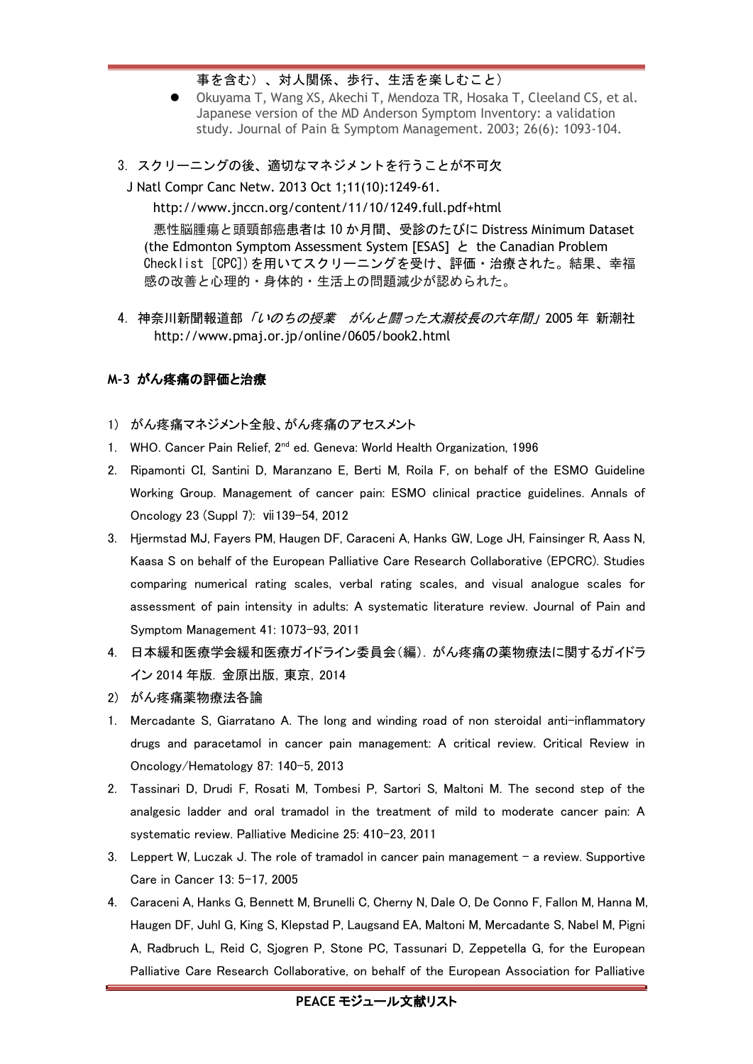## 事を含む)、対人関係、歩行、生活を楽しむこと)

- Okuyama T, Wang XS, Akechi T, Mendoza TR, Hosaka T, Cleeland CS, et al. Japanese version of the MD Anderson Symptom Inventory: a validation study. Journal of Pain & Symptom Management. 2003; 26(6): 1093-104.
- 3. スクリーニングの後、適切なマネジメントを行うことが不可欠

J Natl Compr Canc Netw. 2013 Oct 1;11(10):1249-61.

http://www.jnccn.org/content/11/10/1249.full.pdf+html

悪性脳腫瘍と頭頸部癌患者は 10 か月間、受診のたびに Distress Minimum Dataset (the Edmonton Symptom Assessment System [ESAS] と the Canadian Problem Checklist [CPC])を用いてスクリーニングを受け、評価・治療された。結果、幸福 感の改善と心理的・身体的・生活上の問題減少が認められた。

4.神奈川新聞報道部「いのちの授業 がんと闘った大瀬校長の六年間」2005 年 新潮社 http://www.pmaj.or.jp/online/0605/book2.html

## **M-3** がん疼痛の評価と治療

- 1) がん疼痛マネジメント全般、がん疼痛のアセスメント
- 1. WHO. Cancer Pain Relief, 2<sup>nd</sup> ed. Geneva: World Health Organization, 1996
- 2. Ripamonti CI, Santini D, Maranzano E, Berti M, Roila F, on behalf of the ESMO Guideline Working Group. Management of cancer pain: ESMO clinical practice guidelines. Annals of Oncology 23 (Suppl 7): ⅶ139-54, 2012
- 3. Hjermstad MJ, Fayers PM, Haugen DF, Caraceni A, Hanks GW, Loge JH, Fainsinger R, Aass N, Kaasa S on behalf of the European Palliative Care Research Collaborative (EPCRC). Studies comparing numerical rating scales, verbal rating scales, and visual analogue scales for assessment of pain intensity in adults: A systematic literature review. Journal of Pain and Symptom Management 41: 1073-93, 2011
- 4. 日本緩和医療学会緩和医療ガイドライン委員会(編). がん疼痛の薬物療法に関するガイドラ イン 2014 年版. 金原出版,東京,2014
- 2) がん疼痛薬物療法各論
- 1. Mercadante S, Giarratano A. The long and winding road of non steroidal anti-inflammatory drugs and paracetamol in cancer pain management: A critical review. Critical Review in Oncology/Hematology 87: 140-5, 2013
- 2. Tassinari D, Drudi F, Rosati M, Tombesi P, Sartori S, Maltoni M. The second step of the analgesic ladder and oral tramadol in the treatment of mild to moderate cancer pain: A systematic review. Palliative Medicine 25: 410-23, 2011
- 3. Leppert W, Luczak J. The role of tramadol in cancer pain management a review. Supportive Care in Cancer 13: 5-17, 2005
- 4. Caraceni A, Hanks G, Bennett M, Brunelli C, Cherny N, Dale O, De Conno F, Fallon M, Hanna M, Haugen DF, Juhl G, King S, Klepstad P, Laugsand EA, Maltoni M, Mercadante S, Nabel M, Pigni A, Radbruch L, Reid C, Sjogren P, Stone PC, Tassunari D, Zeppetella G, for the European Palliative Care Research Collaborative, on behalf of the European Association for Palliative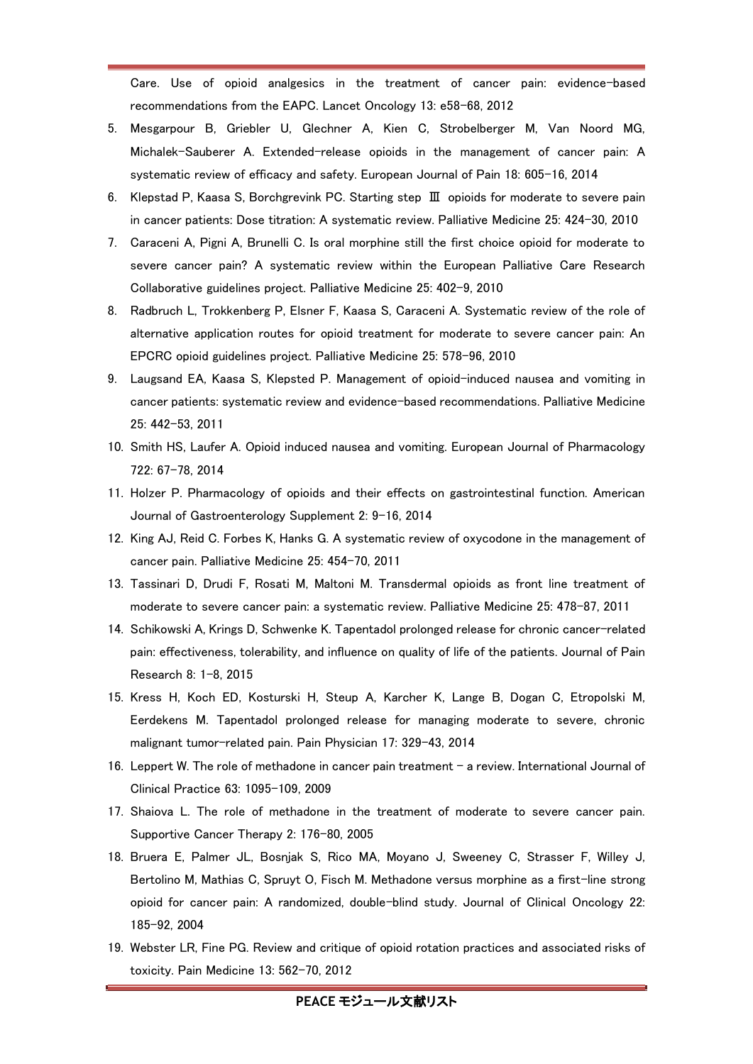Care. Use of opioid analgesics in the treatment of cancer pain: evidence-based recommendations from the EAPC. Lancet Oncology 13: e58-68, 2012

- 5. Mesgarpour B, Griebler U, Glechner A, Kien C, Strobelberger M, Van Noord MG, Michalek-Sauberer A. Extended-release opioids in the management of cancer pain: A systematic review of efficacy and safety. European Journal of Pain 18: 605-16, 2014
- 6. Klepstad P, Kaasa S, Borchgrevink PC. Starting step Ⅲ opioids for moderate to severe pain in cancer patients: Dose titration: A systematic review. Palliative Medicine 25: 424-30, 2010
- 7. Caraceni A, Pigni A, Brunelli C. Is oral morphine still the first choice opioid for moderate to severe cancer pain? A systematic review within the European Palliative Care Research Collaborative guidelines project. Palliative Medicine 25: 402-9, 2010
- 8. Radbruch L, Trokkenberg P, Elsner F, Kaasa S, Caraceni A. Systematic review of the role of alternative application routes for opioid treatment for moderate to severe cancer pain: An EPCRC opioid guidelines project. Palliative Medicine 25: 578-96, 2010
- 9. Laugsand EA, Kaasa S, Klepsted P. Management of opioid-induced nausea and vomiting in cancer patients: systematic review and evidence-based recommendations. Palliative Medicine 25: 442-53, 2011
- 10. Smith HS, Laufer A. Opioid induced nausea and vomiting. European Journal of Pharmacology 722: 67-78, 2014
- 11. Holzer P. Pharmacology of opioids and their effects on gastrointestinal function. American Journal of Gastroenterology Supplement 2: 9-16, 2014
- 12. King AJ, Reid C. Forbes K, Hanks G. A systematic review of oxycodone in the management of cancer pain. Palliative Medicine 25: 454-70, 2011
- 13. Tassinari D, Drudi F, Rosati M, Maltoni M. Transdermal opioids as front line treatment of moderate to severe cancer pain: a systematic review. Palliative Medicine 25: 478-87, 2011
- 14. Schikowski A, Krings D, Schwenke K. Tapentadol prolonged release for chronic cancer-related pain: effectiveness, tolerability, and influence on quality of life of the patients. Journal of Pain Research 8: 1-8, 2015
- 15. Kress H, Koch ED, Kosturski H, Steup A, Karcher K, Lange B, Dogan C, Etropolski M, Eerdekens M. Tapentadol prolonged release for managing moderate to severe, chronic malignant tumor-related pain. Pain Physician 17: 329-43, 2014
- 16. Leppert W. The role of methadone in cancer pain treatment a review. International Journal of Clinical Practice 63: 1095-109, 2009
- 17. Shaiova L. The role of methadone in the treatment of moderate to severe cancer pain. Supportive Cancer Therapy 2: 176-80, 2005
- 18. Bruera E, Palmer JL, Bosnjak S, Rico MA, Moyano J, Sweeney C, Strasser F, Willey J, Bertolino M, Mathias C, Spruyt O, Fisch M. Methadone versus morphine as a first-line strong opioid for cancer pain: A randomized, double-blind study. Journal of Clinical Oncology 22: 185-92, 2004
- 19. Webster LR, Fine PG. Review and critique of opioid rotation practices and associated risks of toxicity. Pain Medicine 13: 562-70, 2012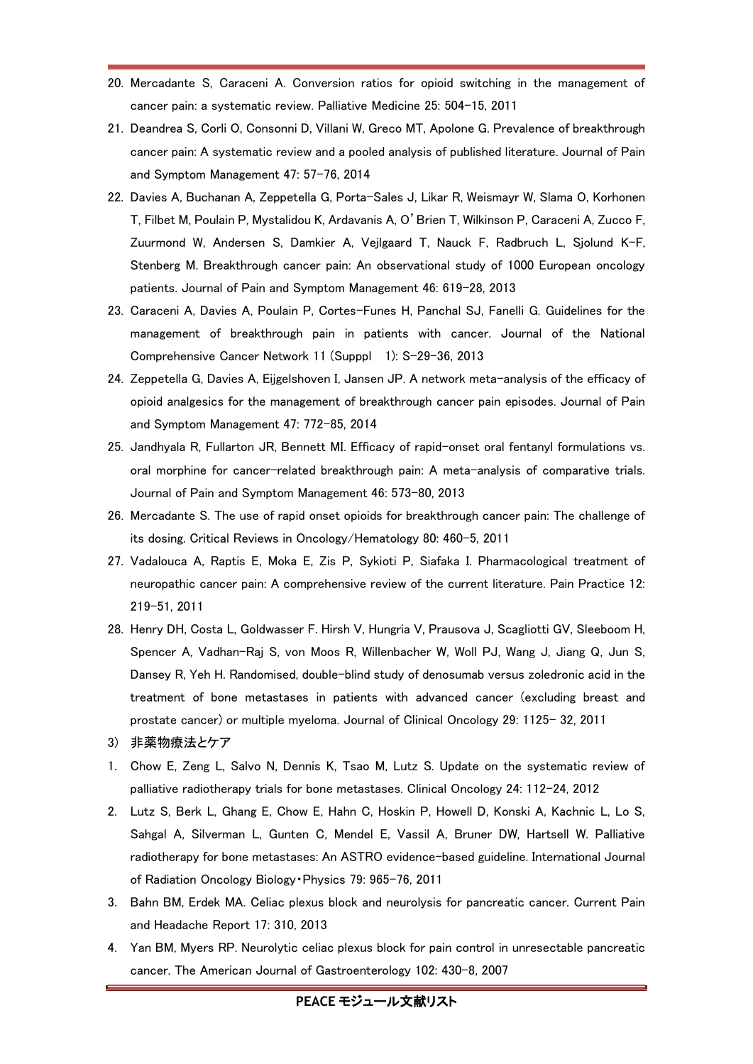- 20. Mercadante S, Caraceni A. Conversion ratios for opioid switching in the management of cancer pain: a systematic review. Palliative Medicine 25: 504-15, 2011
- 21. Deandrea S, Corli O, Consonni D, Villani W, Greco MT, Apolone G. Prevalence of breakthrough cancer pain: A systematic review and a pooled analysis of published literature. Journal of Pain and Symptom Management 47: 57-76, 2014
- 22. Davies A, Buchanan A, Zeppetella G, Porta-Sales J, Likar R, Weismayr W, Slama O, Korhonen T, Filbet M, Poulain P, Mystalidou K, Ardavanis A, O'Brien T, Wilkinson P, Caraceni A, Zucco F, Zuurmond W, Andersen S, Damkier A, Vejlgaard T, Nauck F, Radbruch L, Sjolund K-F, Stenberg M. Breakthrough cancer pain: An observational study of 1000 European oncology patients. Journal of Pain and Symptom Management 46: 619-28, 2013
- 23. Caraceni A, Davies A, Poulain P, Cortes-Funes H, Panchal SJ, Fanelli G. Guidelines for the management of breakthrough pain in patients with cancer. Journal of the National Comprehensive Cancer Network 11 (Supppl 1): S-29-36, 2013
- 24. Zeppetella G, Davies A, Eijgelshoven I, Jansen JP. A network meta-analysis of the efficacy of opioid analgesics for the management of breakthrough cancer pain episodes. Journal of Pain and Symptom Management 47: 772-85, 2014
- 25. Jandhyala R, Fullarton JR, Bennett MI. Efficacy of rapid-onset oral fentanyl formulations vs. oral morphine for cancer-related breakthrough pain: A meta-analysis of comparative trials. Journal of Pain and Symptom Management 46: 573-80, 2013
- 26. Mercadante S. The use of rapid onset opioids for breakthrough cancer pain: The challenge of its dosing. Critical Reviews in Oncology/Hematology 80: 460-5, 2011
- 27. Vadalouca A, Raptis E, Moka E, Zis P, Sykioti P, Siafaka I. Pharmacological treatment of neuropathic cancer pain: A comprehensive review of the current literature. Pain Practice 12: 219-51, 2011
- 28. Henry DH, Costa L, Goldwasser F. Hirsh V, Hungria V, Prausova J, Scagliotti GV, Sleeboom H, Spencer A, Vadhan-Raj S, von Moos R, Willenbacher W, Woll PJ, Wang J, Jiang Q, Jun S, Dansey R, Yeh H. Randomised, double-blind study of denosumab versus zoledronic acid in the treatment of bone metastases in patients with advanced cancer (excluding breast and prostate cancer) or multiple myeloma. Journal of Clinical Oncology 29: 1125- 32, 2011
- 3) 非薬物療法とケア
- 1. Chow E, Zeng L, Salvo N, Dennis K, Tsao M, Lutz S. Update on the systematic review of palliative radiotherapy trials for bone metastases. Clinical Oncology 24: 112-24, 2012
- 2. Lutz S, Berk L, Ghang E, Chow E, Hahn C, Hoskin P, Howell D, Konski A, Kachnic L, Lo S, Sahgal A, Silverman L, Gunten C, Mendel E, Vassil A, Bruner DW, Hartsell W. Palliative radiotherapy for bone metastases: An ASTRO evidence-based guideline. International Journal of Radiation Oncology Biology・Physics 79: 965-76, 2011
- 3. Bahn BM, Erdek MA. Celiac plexus block and neurolysis for pancreatic cancer. Current Pain and Headache Report 17: 310, 2013
- 4. Yan BM, Myers RP. Neurolytic celiac plexus block for pain control in unresectable pancreatic cancer. The American Journal of Gastroenterology 102: 430-8, 2007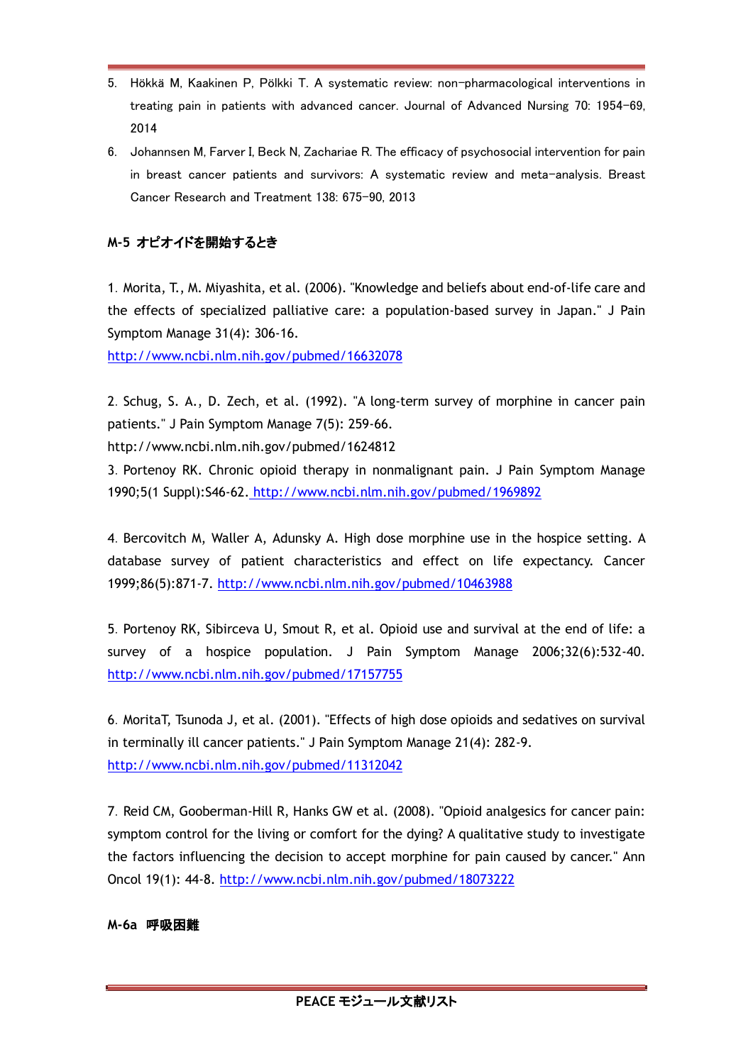- 5. Hökkä M, Kaakinen P, Pölkki T. A systematic review: non-pharmacological interventions in treating pain in patients with advanced cancer. Journal of Advanced Nursing 70: 1954-69, 2014
- 6. Johannsen M, Farver I, Beck N, Zachariae R. The efficacy of psychosocial intervention for pain in breast cancer patients and survivors: A systematic review and meta-analysis. Breast Cancer Research and Treatment 138: 675-90, 2013

## **M-5** オピオイドを開始するとき

1.Morita, T., M. Miyashita, et al. (2006). "Knowledge and beliefs about end-of-life care and the effects of specialized palliative care: a population-based survey in Japan." J Pain Symptom Manage 31(4): 306-16.

<http://www.ncbi.nlm.nih.gov/pubmed/16632078>

2.Schug, S. A., D. Zech, et al. (1992). "A long-term survey of morphine in cancer pain patients." J Pain Symptom Manage 7(5): 259-66.

http://www.ncbi.nlm.nih.gov/pubmed/1624812

3.Portenoy RK. Chronic opioid therapy in nonmalignant pain. J Pain Symptom Manage 1990;5(1 Suppl):S46-62. <http://www.ncbi.nlm.nih.gov/pubmed/1969892>

4.Bercovitch M, Waller A, Adunsky A. High dose morphine use in the hospice setting. A database survey of patient characteristics and effect on life expectancy. Cancer 1999;86(5):871-7.<http://www.ncbi.nlm.nih.gov/pubmed/10463988>

5.Portenoy RK, Sibirceva U, Smout R, et al. Opioid use and survival at the end of life: a survey of a hospice population. J Pain Symptom Manage 2006;32(6):532-40. <http://www.ncbi.nlm.nih.gov/pubmed/17157755>

6.MoritaT, Tsunoda J, et al. (2001). "Effects of high dose opioids and sedatives on survival in terminally ill cancer patients." J Pain Symptom Manage 21(4): 282-9. <http://www.ncbi.nlm.nih.gov/pubmed/11312042>

7.Reid CM, Gooberman-Hill R, Hanks GW et al. (2008). "Opioid analgesics for cancer pain: symptom control for the living or comfort for the dying? A qualitative study to investigate the factors influencing the decision to accept morphine for pain caused by cancer." Ann Oncol 19(1): 44-8. <http://www.ncbi.nlm.nih.gov/pubmed/18073222>

## **M-6a** 呼吸困難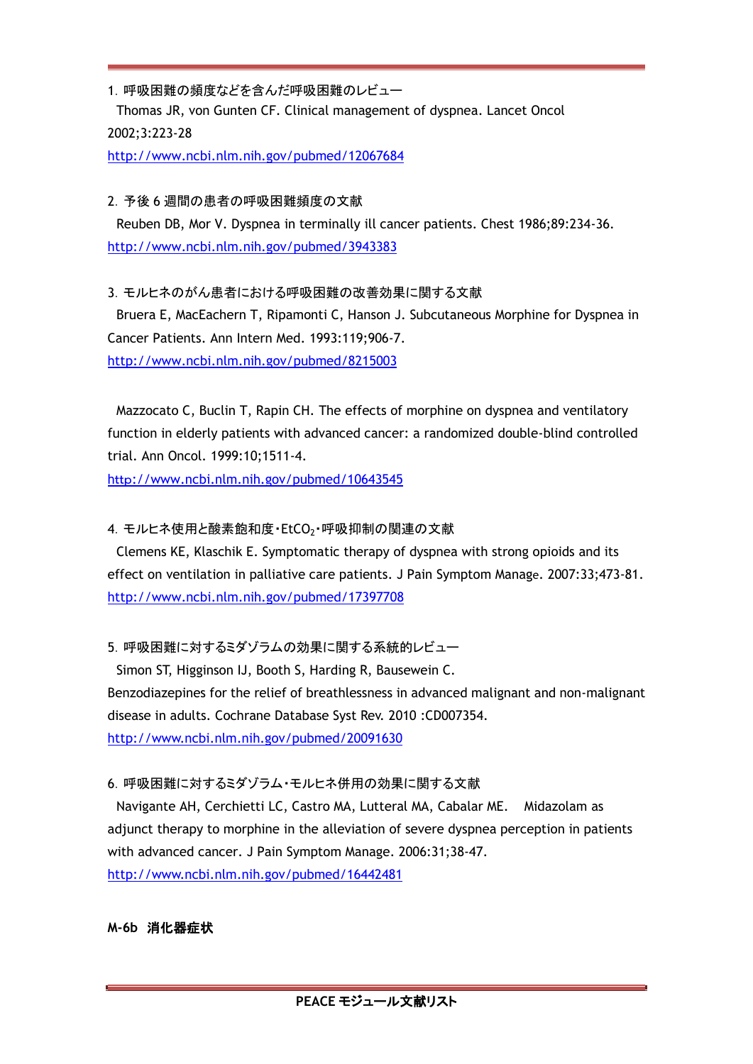1.呼吸困難の頻度などを含んだ呼吸困難のレビュー Thomas JR, von Gunten CF. Clinical management of dyspnea. Lancet Oncol 2002;3:223-28

<http://www.ncbi.nlm.nih.gov/pubmed/12067684>

#### 2.予後 6 週間の患者の呼吸困難頻度の文献

Reuben DB, Mor V. Dyspnea in terminally ill cancer patients. Chest 1986;89:234-36. <http://www.ncbi.nlm.nih.gov/pubmed/3943383>

### 3.モルヒネのがん患者における呼吸困難の改善効果に関する文献

Bruera E, MacEachern T, Ripamonti C, Hanson J. Subcutaneous Morphine for Dyspnea in Cancer Patients. Ann Intern Med. 1993:119;906-7. <http://www.ncbi.nlm.nih.gov/pubmed/8215003>

Mazzocato C, Buclin T, Rapin CH. The effects of morphine on dyspnea and ventilatory function in elderly patients with advanced cancer: a randomized double-blind controlled trial. Ann Oncol. 1999:10;1511-4.

http[://www.ncbi.nlm.nih.gov/pubmed/10643545](http://www.mhlw.go.jp/toukei/saikin/hw/kaigo/service08/dl/sisetu-jigyousyo.pdf)

## 4. モルヒネ使用と酸素飽和度·EtCO2·呼吸抑制の関連の文献

Clemens KE, Klaschik E. Symptomatic therapy of dyspnea with strong opioids and its effect on ventilation in palliative care patients. J Pain Symptom Manage. 2007:33;473-81. <http://www.ncbi.nlm.nih.gov/pubmed/17397708>

5.呼吸困難に対するミダゾラムの効果に関する系統的レビュー

Simon ST, Higginson IJ, Booth S, Harding R, Bausewein C. Benzodiazepines for the relief of breathlessness in advanced malignant and non-malignant disease in adults. Cochrane Database Syst Rev. 2010 :CD007354. <http://www.ncbi.nlm.nih.gov/pubmed/20091630>

## 6.呼吸困難に対するミダゾラム・モルヒネ併用の効果に関する文献

Navigante AH, Cerchietti LC, Castro MA, Lutteral MA, Cabalar ME. Midazolam as adjunct therapy to morphine in the alleviation of severe dyspnea perception in patients with advanced cancer. J Pain Symptom Manage. 2006:31;38-47. <http://www.ncbi.nlm.nih.gov/pubmed/16442481>

### **M-6b** 消化器症状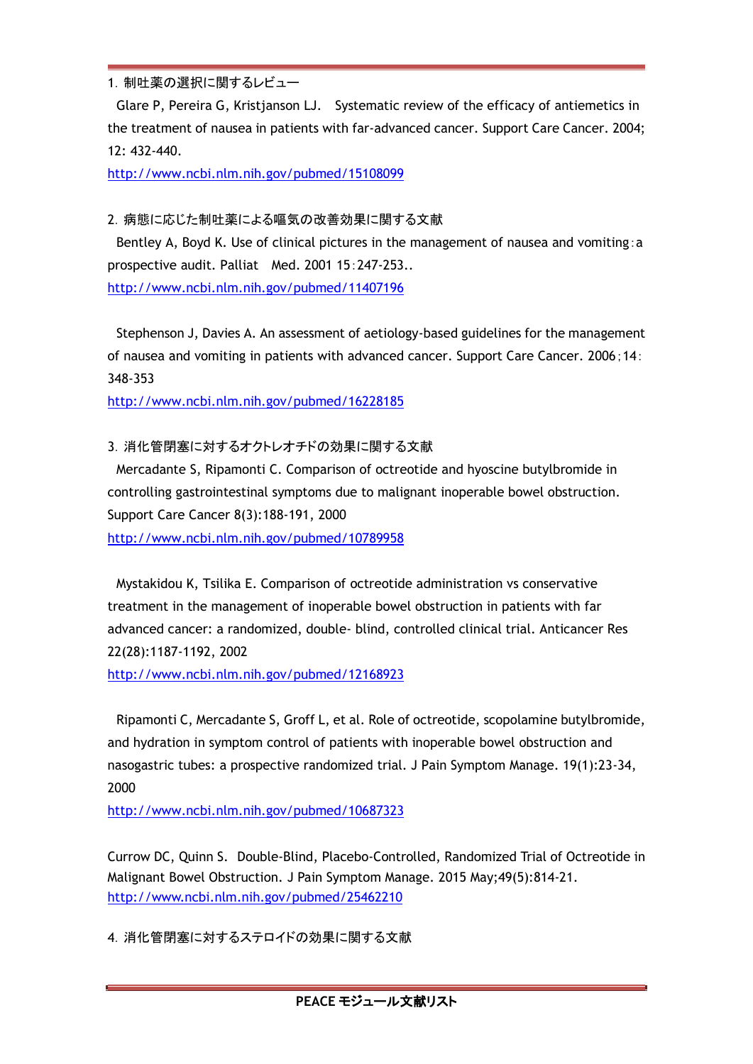1. 制吐薬の選択に関するレビュー

Glare P, Pereira G, Kristjanson LJ. Systematic review of the efficacy of antiemetics in the treatment of nausea in patients with far-advanced cancer. Support Care Cancer. 2004; 12: 432-440.

<http://www.ncbi.nlm.nih.gov/pubmed/15108099>

2.病態に応じた制吐薬による嘔気の改善効果に関する文献

Bentley A, Boyd K. Use of clinical pictures in the management of nausea and vomiting:a prospective audit. Palliat Med. 2001 15:247-253.. <http://www.ncbi.nlm.nih.gov/pubmed/11407196>

Stephenson J, Davies A. An assessment of aetiology-based guidelines for the management of nausea and vomiting in patients with advanced cancer. Support Care Cancer. 2006;14: 348-353

<http://www.ncbi.nlm.nih.gov/pubmed/16228185>

## 3.消化管閉塞に対するオクトレオチドの効果に関する文献

Mercadante S, Ripamonti C. Comparison of octreotide and hyoscine butylbromide in controlling gastrointestinal symptoms due to malignant inoperable bowel obstruction. Support Care Cancer 8(3):188-191, 2000 <http://www.ncbi.nlm.nih.gov/pubmed/10789958>

Mystakidou K, Tsilika E. Comparison of octreotide administration vs conservative treatment in the management of inoperable bowel obstruction in patients with far advanced cancer: a randomized, double- blind, controlled clinical trial. Anticancer Res 22(28):1187-1192, 2002

<http://www.ncbi.nlm.nih.gov/pubmed/12168923>

Ripamonti C, Mercadante S, Groff L, et al. Role of octreotide, scopolamine butylbromide, and hydration in symptom control of patients with inoperable bowel obstruction and nasogastric tubes: a prospective randomized trial. J Pain Symptom Manage. 19(1):23-34, 2000

<http://www.ncbi.nlm.nih.gov/pubmed/10687323>

Currow DC, Quinn S. Double-Blind, Placebo-Controlled, Randomized Trial of Octreotide in Malignant Bowel Obstruction. J Pain Symptom Manage. 2015 May;49(5):814-21. <http://www.ncbi.nlm.nih.gov/pubmed/25462210>

4.消化管閉塞に対するステロイドの効果に関する文献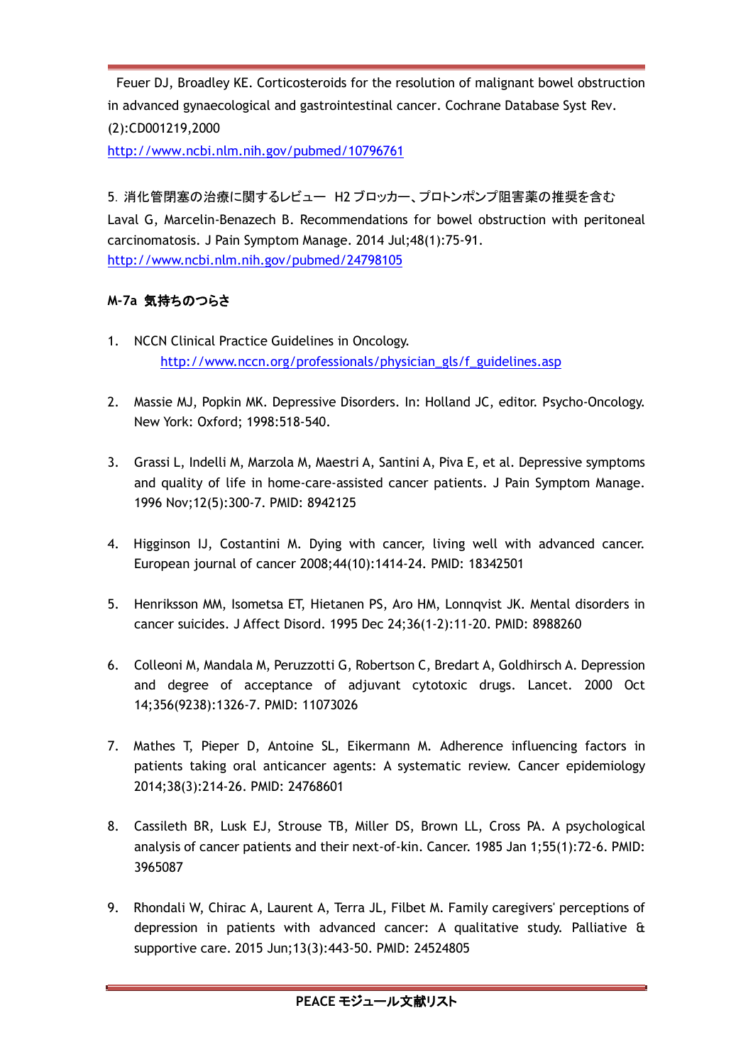Feuer DJ, Broadley KE. Corticosteroids for the resolution of malignant bowel obstruction in advanced gynaecological and gastrointestinal cancer. Cochrane Database Syst Rev. (2):CD001219,2000

<http://www.ncbi.nlm.nih.gov/pubmed/10796761>

5.消化管閉塞の治療に関するレビュー H2 ブロッカー、プロトンポンプ阻害薬の推奨を含む Laval G, Marcelin-Benazech B. Recommendations for bowel obstruction with peritoneal carcinomatosis. J Pain Symptom Manage. 2014 Jul;48(1):75-91. <http://www.ncbi.nlm.nih.gov/pubmed/24798105>

## **M-7a** 気持ちのつらさ

- 1. NCCN Clinical Practice Guidelines in Oncology. [http://www.nccn.org/professionals/physician\\_gls/f\\_guidelines.asp](http://www.nccn.org/professionals/physician_gls/f_guidelines.asp)
- 2. Massie MJ, Popkin MK. Depressive Disorders. In: Holland JC, editor. Psycho-Oncology. New York: Oxford; 1998:518-540.
- 3. Grassi L, Indelli M, Marzola M, Maestri A, Santini A, Piva E, et al. Depressive symptoms and quality of life in home-care-assisted cancer patients. J Pain Symptom Manage. 1996 Nov;12(5):300-7. PMID: 8942125
- 4. Higginson IJ, Costantini M. Dying with cancer, living well with advanced cancer. European journal of cancer 2008;44(10):1414-24. PMID: 18342501
- 5. Henriksson MM, Isometsa ET, Hietanen PS, Aro HM, Lonnqvist JK. Mental disorders in cancer suicides. J Affect Disord. 1995 Dec 24;36(1-2):11-20. PMID: 8988260
- 6. Colleoni M, Mandala M, Peruzzotti G, Robertson C, Bredart A, Goldhirsch A. Depression and degree of acceptance of adjuvant cytotoxic drugs. Lancet. 2000 Oct 14;356(9238):1326-7. PMID: 11073026
- 7. Mathes T, Pieper D, Antoine SL, Eikermann M. Adherence influencing factors in patients taking oral anticancer agents: A systematic review. Cancer epidemiology 2014;38(3):214-26. PMID: 24768601
- 8. Cassileth BR, Lusk EJ, Strouse TB, Miller DS, Brown LL, Cross PA. A psychological analysis of cancer patients and their next-of-kin. Cancer. 1985 Jan 1;55(1):72-6. PMID: 3965087
- 9. Rhondali W, Chirac A, Laurent A, Terra JL, Filbet M. Family caregivers' perceptions of depression in patients with advanced cancer: A qualitative study. Palliative & supportive care. 2015 Jun;13(3):443-50. PMID: 24524805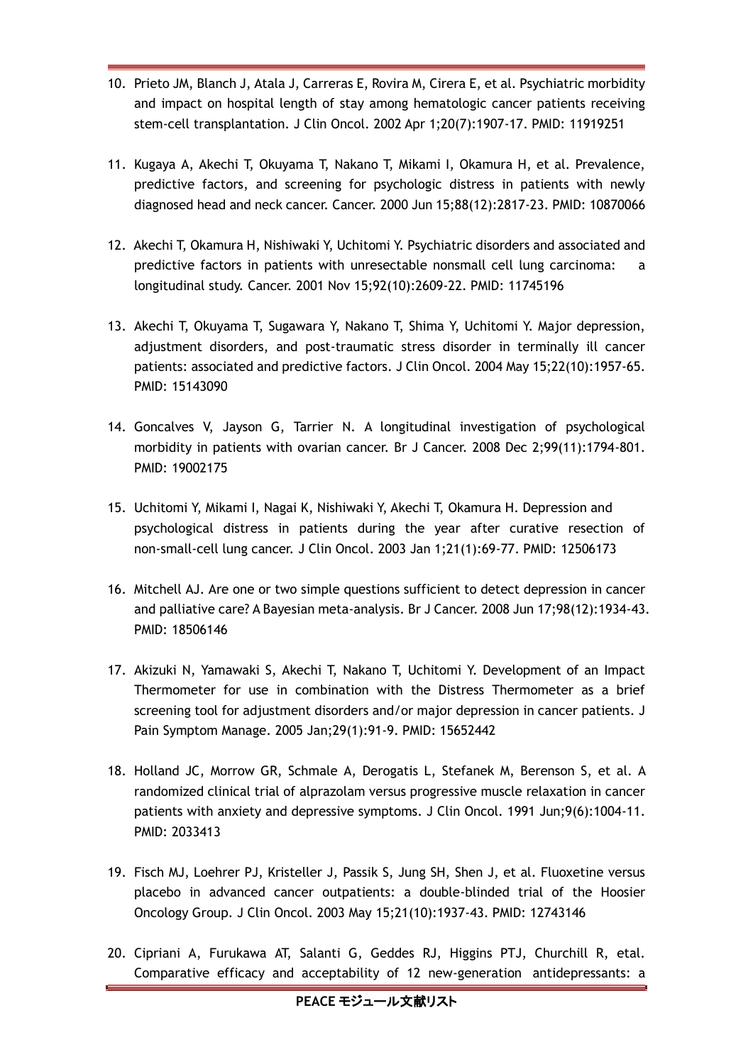- 10. Prieto JM, Blanch J, Atala J, Carreras E, Rovira M, Cirera E, et al. Psychiatric morbidity and impact on hospital length of stay among hematologic cancer patients receiving stem-cell transplantation. J Clin Oncol. 2002 Apr 1;20(7):1907-17. PMID: 11919251
- 11. Kugaya A, Akechi T, Okuyama T, Nakano T, Mikami I, Okamura H, et al. Prevalence, predictive factors, and screening for psychologic distress in patients with newly diagnosed head and neck cancer. Cancer. 2000 Jun 15;88(12):2817-23. PMID: 10870066
- 12. Akechi T, Okamura H, Nishiwaki Y, Uchitomi Y. Psychiatric disorders and associated and predictive factors in patients with unresectable nonsmall cell lung carcinoma: a longitudinal study. Cancer. 2001 Nov 15;92(10):2609-22. PMID: 11745196
- 13. Akechi T, Okuyama T, Sugawara Y, Nakano T, Shima Y, Uchitomi Y. Major depression, adjustment disorders, and post-traumatic stress disorder in terminally ill cancer patients: associated and predictive factors. J Clin Oncol. 2004 May 15;22(10):1957-65. PMID: 15143090
- 14. Goncalves V, Jayson G, Tarrier N. A longitudinal investigation of psychological morbidity in patients with ovarian cancer. Br J Cancer. 2008 Dec 2;99(11):1794-801. PMID: 19002175
- 15. Uchitomi Y, Mikami I, Nagai K, Nishiwaki Y, Akechi T, Okamura H. Depression and psychological distress in patients during the year after curative resection of non-small-cell lung cancer. J Clin Oncol. 2003 Jan 1;21(1):69-77. PMID: 12506173
- 16. Mitchell AJ. Are one or two simple questions sufficient to detect depression in cancer and palliative care? A Bayesian meta-analysis. Br J Cancer. 2008 Jun 17;98(12):1934-43. PMID: 18506146
- 17. Akizuki N, Yamawaki S, Akechi T, Nakano T, Uchitomi Y. Development of an Impact Thermometer for use in combination with the Distress Thermometer as a brief screening tool for adjustment disorders and/or major depression in cancer patients. J Pain Symptom Manage. 2005 Jan;29(1):91-9. PMID: 15652442
- 18. Holland JC, Morrow GR, Schmale A, Derogatis L, Stefanek M, Berenson S, et al. A randomized clinical trial of alprazolam versus progressive muscle relaxation in cancer patients with anxiety and depressive symptoms. J Clin Oncol. 1991 Jun;9(6):1004-11. PMID: 2033413
- 19. Fisch MJ, Loehrer PJ, Kristeller J, Passik S, Jung SH, Shen J, et al. Fluoxetine versus placebo in advanced cancer outpatients: a double-blinded trial of the Hoosier Oncology Group. J Clin Oncol. 2003 May 15;21(10):1937-43. PMID: 12743146
- 20. Cipriani A, Furukawa AT, Salanti G, Geddes RJ, Higgins PTJ, Churchill R, etal. Comparative efficacy and acceptability of 12 new-generation antidepressants: a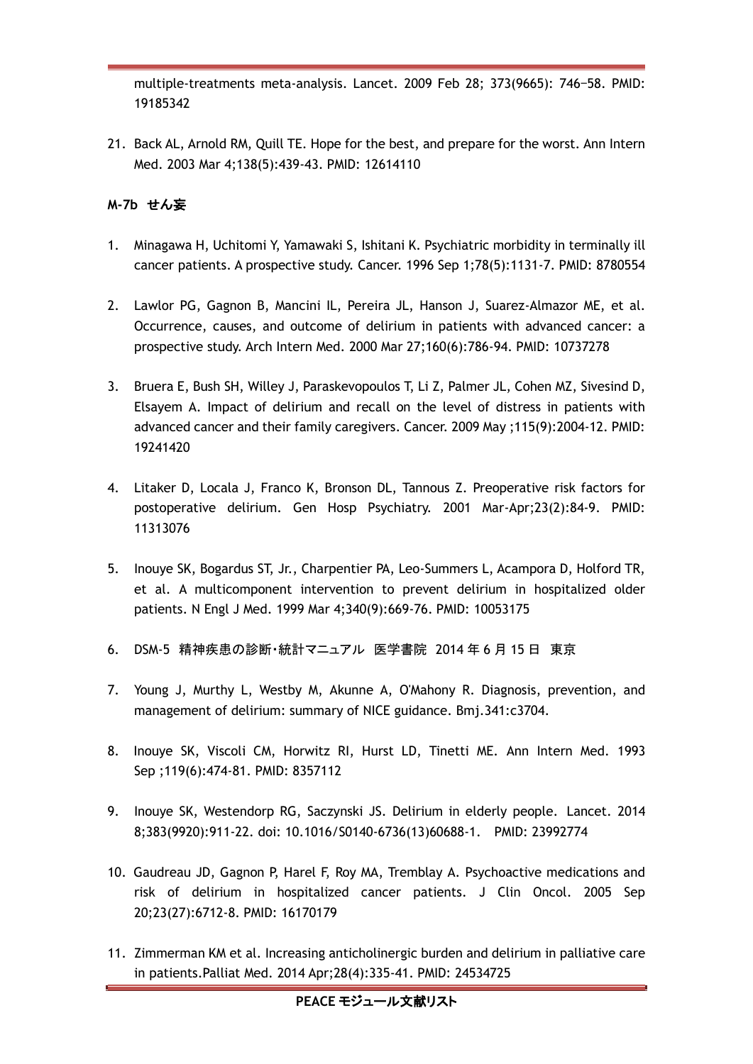multiple-treatments meta-analysis. Lancet. 2009 Feb 28; 373(9665): 746–58. PMID: 19185342

21. Back AL, Arnold RM, Quill TE. Hope for the best, and prepare for the worst. Ann Intern Med. 2003 Mar 4;138(5):439-43. PMID: 12614110

## **M-7b** せん妄

- 1. Minagawa H, Uchitomi Y, Yamawaki S, Ishitani K. Psychiatric morbidity in terminally ill cancer patients. A prospective study. Cancer. 1996 Sep 1;78(5):1131-7. PMID: 8780554
- 2. Lawlor PG, Gagnon B, Mancini IL, Pereira JL, Hanson J, Suarez-Almazor ME, et al. Occurrence, causes, and outcome of delirium in patients with advanced cancer: a prospective study. Arch Intern Med. 2000 Mar 27;160(6):786-94. PMID: 10737278
- 3. Bruera E, Bush SH, Willey J, Paraskevopoulos T, Li Z, Palmer JL, Cohen MZ, Sivesind D, Elsayem A. Impact of delirium and recall on the level of distress in patients with advanced cancer and their family caregivers. Cancer. 2009 May ;115(9):2004-12. PMID: 19241420
- 4. Litaker D, Locala J, Franco K, Bronson DL, Tannous Z. Preoperative risk factors for postoperative delirium. Gen Hosp Psychiatry. 2001 Mar-Apr;23(2):84-9. PMID: 11313076
- 5. Inouye SK, Bogardus ST, Jr., Charpentier PA, Leo-Summers L, Acampora D, Holford TR, et al. A multicomponent intervention to prevent delirium in hospitalized older patients. N Engl J Med. 1999 Mar 4;340(9):669-76. PMID: 10053175
- 6. DSM-5 精神疾患の診断・統計マニュアル 医学書院 2014 年 6 月 15 日 東京
- 7. Young J, Murthy L, Westby M, Akunne A, O'Mahony R. Diagnosis, prevention, and management of delirium: summary of NICE guidance. Bmj.341:c3704.
- 8. Inouye SK, Viscoli CM, Horwitz RI, Hurst LD, Tinetti ME. Ann Intern Med. 1993 Sep ;119(6):474-81. PMID: 8357112
- 9. Inouye SK, Westendorp RG, Saczynski JS. Delirium in elderly people. Lancet. 2014 8;383(9920):911-22. doi: 10.1016/S0140-6736(13)60688-1. PMID: 23992774
- 10. Gaudreau JD, Gagnon P, Harel F, Roy MA, Tremblay A. Psychoactive medications and risk of delirium in hospitalized cancer patients. J Clin Oncol. 2005 Sep 20;23(27):6712-8. PMID: 16170179
- 11. Zimmerman KM et al. Increasing anticholinergic burden and delirium in palliative care in patients.Palliat Med. 2014 Apr;28(4):335-41. PMID: 24534725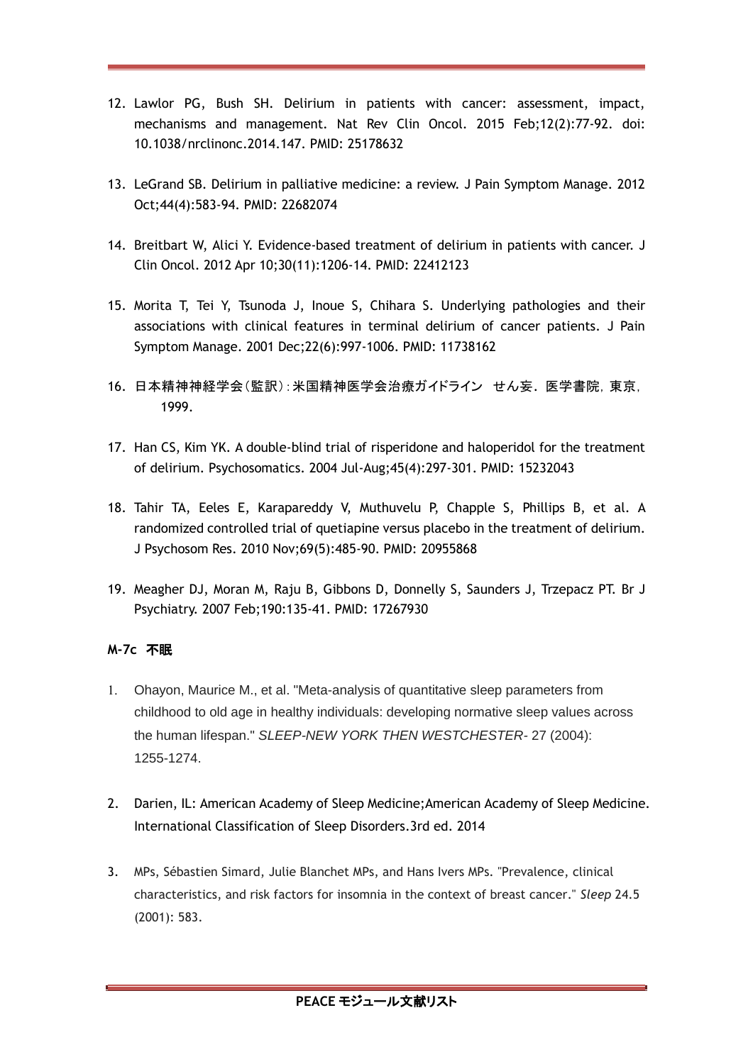- 12. Lawlor PG, Bush SH. Delirium in patients with cancer: assessment, impact, mechanisms and management. Nat Rev Clin Oncol. 2015 Feb;12(2):77-92. doi: 10.1038/nrclinonc.2014.147. PMID: 25178632
- 13. LeGrand SB. Delirium in palliative medicine: a review. J Pain Symptom Manage. 2012 Oct;44(4):583-94. PMID: 22682074
- 14. Breitbart W, Alici Y. Evidence-based treatment of delirium in patients with cancer. J Clin Oncol. 2012 Apr 10;30(11):1206-14. PMID: 22412123
- 15. Morita T, Tei Y, Tsunoda J, Inoue S, Chihara S. Underlying pathologies and their associations with clinical features in terminal delirium of cancer patients. J Pain Symptom Manage. 2001 Dec;22(6):997-1006. PMID: 11738162
- 16. 日本精神神経学会(監訳):米国精神医学会治療ガイドライン せん妄. 医学書院,東京, 1999.
- 17. Han CS, Kim YK. A double-blind trial of risperidone and haloperidol for the treatment of delirium. Psychosomatics. 2004 Jul-Aug;45(4):297-301. PMID: 15232043
- 18. Tahir TA, Eeles E, Karapareddy V, Muthuvelu P, Chapple S, Phillips B, et al. A randomized controlled trial of quetiapine versus placebo in the treatment of delirium. J Psychosom Res. 2010 Nov;69(5):485-90. PMID: 20955868
- 19. Meagher DJ, Moran M, Raju B, Gibbons D, Donnelly S, Saunders J, Trzepacz PT. Br J Psychiatry. 2007 Feb;190:135-41. PMID: 17267930

## **M-7c** 不眠

- 1. Ohayon, Maurice M., et al. "Meta-analysis of quantitative sleep parameters from childhood to old age in healthy individuals: developing normative sleep values across the human lifespan." *SLEEP-NEW YORK THEN WESTCHESTER-* 27 (2004): 1255-1274.
- 2. Darien, IL: American Academy of Sleep Medicine;American Academy of Sleep Medicine. International Classification of Sleep Disorders.3rd ed. 2014
- 3. MPs, Sébastien Simard, Julie Blanchet MPs, and Hans Ivers MPs. "Prevalence, clinical characteristics, and risk factors for insomnia in the context of breast cancer." *Sleep* 24.5 (2001): 583.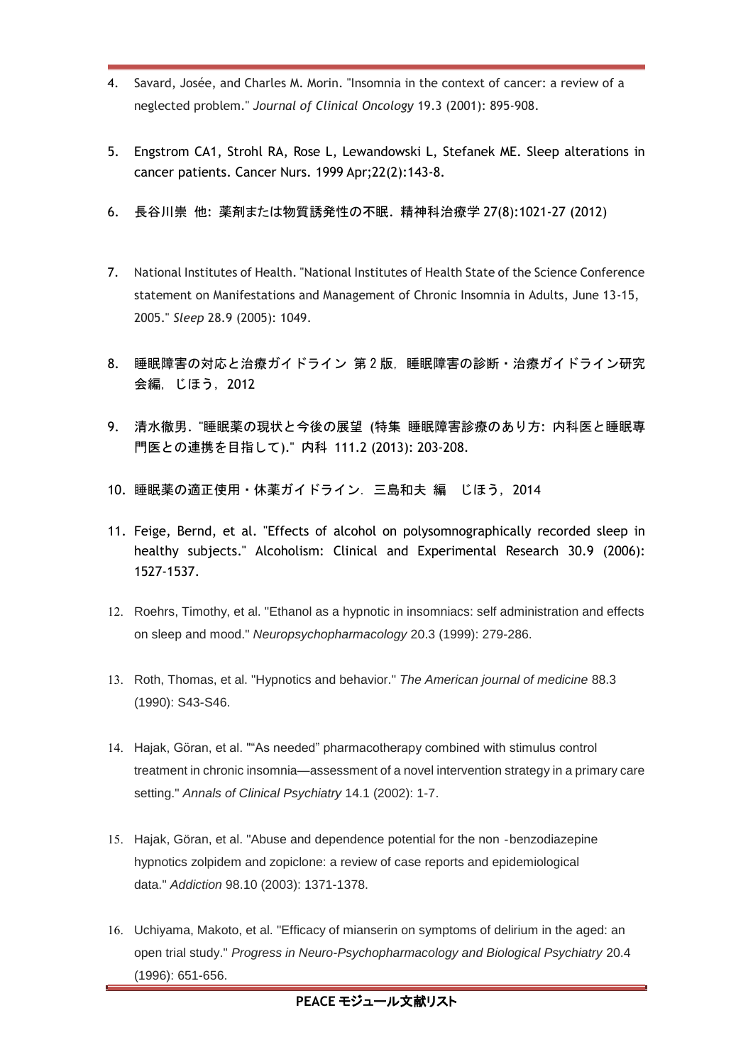- 4. Savard, Josée, and Charles M. Morin. "Insomnia in the context of cancer: a review of a neglected problem." *Journal of Clinical Oncology* 19.3 (2001): 895-908.
- 5. Engstrom CA1, Strohl RA, Rose L, Lewandowski L, Stefanek ME. Sleep alterations in cancer patients. Cancer Nurs. 1999 Apr;22(2):143-8.
- 6. 長谷川崇 他: 薬剤または物質誘発性の不眠. 精神科治療学 27(8):1021-27 (2012)
- 7. National Institutes of Health. "National Institutes of Health State of the Science Conference statement on Manifestations and Management of Chronic Insomnia in Adults, June 13-15, 2005." *Sleep* 28.9 (2005): 1049.
- 8. 睡眠障害の対応と治療ガイドライン 第2版,睡眠障害の診断・治療ガイドライン研究 会編,じほう,2012
- 9. 清水徹男. "睡眠薬の現状と今後の展望 (特集 睡眠障害診療のあり方: 内科医と睡眠専 門医との連携を目指して)." 内科 111.2 (2013): 203-208.
- 10. 睡眠薬の適正使用・休薬ガイドライン.三島和夫 編 じほう,2014
- 11. Feige, Bernd, et al. "Effects of alcohol on polysomnographically recorded sleep in healthy subjects." Alcoholism: Clinical and Experimental Research 30.9 (2006): 1527-1537.
- 12. Roehrs, Timothy, et al. "Ethanol as a hypnotic in insomniacs: self administration and effects on sleep and mood." *Neuropsychopharmacology* 20.3 (1999): 279-286.
- 13. Roth, Thomas, et al. "Hypnotics and behavior." *The American journal of medicine* 88.3 (1990): S43-S46.
- 14. Hajak, Göran, et al. ""As needed" pharmacotherapy combined with stimulus control treatment in chronic insomnia—assessment of a novel intervention strategy in a primary care setting." *Annals of Clinical Psychiatry* 14.1 (2002): 1-7.
- 15. Hajak, Göran, et al. "Abuse and dependence potential for the non‐benzodiazepine hypnotics zolpidem and zopiclone: a review of case reports and epidemiological data." *Addiction* 98.10 (2003): 1371-1378.
- 16. Uchiyama, Makoto, et al. "Efficacy of mianserin on symptoms of delirium in the aged: an open trial study." *Progress in Neuro-Psychopharmacology and Biological Psychiatry* 20.4 (1996): 651-656.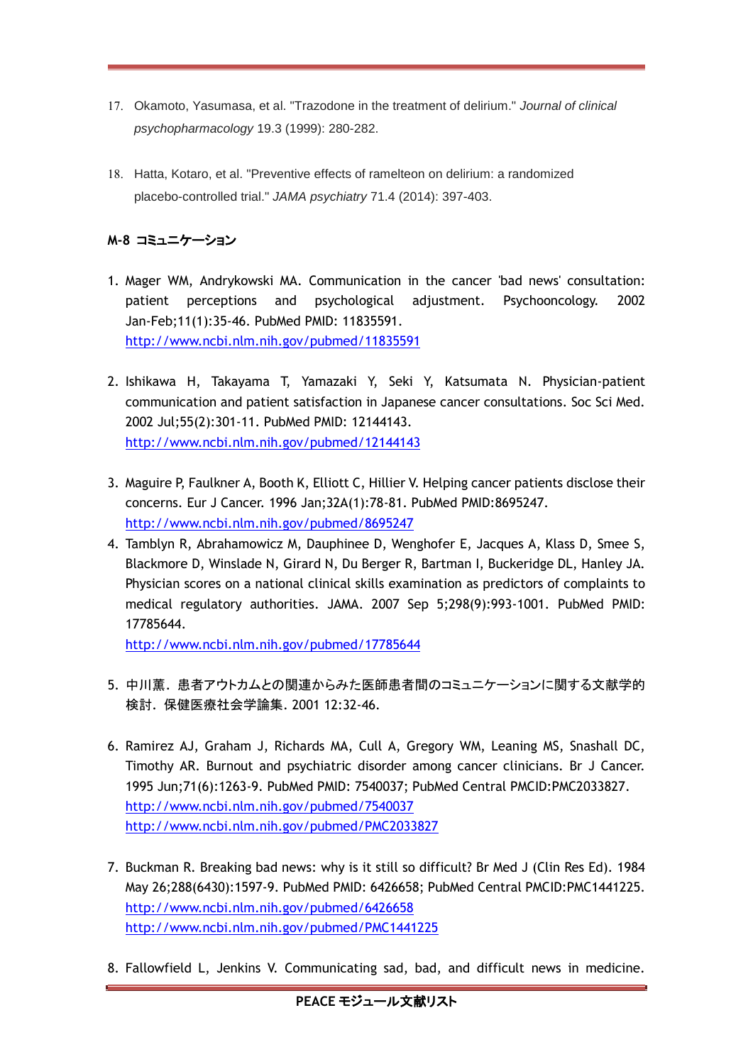- 17. Okamoto, Yasumasa, et al. "Trazodone in the treatment of delirium." *Journal of clinical psychopharmacology* 19.3 (1999): 280-282.
- 18. Hatta, Kotaro, et al. "Preventive effects of ramelteon on delirium: a randomized placebo-controlled trial." *JAMA psychiatry* 71.4 (2014): 397-403.

## **M-8** コミュニケーション

- 1. Mager WM, Andrykowski MA. Communication in the cancer 'bad news' consultation: patient perceptions and psychological adjustment. Psychooncology. 2002 Jan-Feb;11(1):35-46. PubMed PMID: 11835591. <http://www.ncbi.nlm.nih.gov/pubmed/11835591>
- 2. Ishikawa H, Takayama T, Yamazaki Y, Seki Y, Katsumata N. Physician-patient communication and patient satisfaction in Japanese cancer consultations. Soc Sci Med. 2002 Jul;55(2):301-11. PubMed PMID: 12144143. <http://www.ncbi.nlm.nih.gov/pubmed/12144143>
- 3. Maguire P, Faulkner A, Booth K, Elliott C, Hillier V. Helping cancer patients disclose their concerns. Eur J Cancer. 1996 Jan;32A(1):78-81. PubMed PMID:8695247. <http://www.ncbi.nlm.nih.gov/pubmed/8695247>
- 4. Tamblyn R, Abrahamowicz M, Dauphinee D, Wenghofer E, Jacques A, Klass D, Smee S, Blackmore D, Winslade N, Girard N, Du Berger R, Bartman I, Buckeridge DL, Hanley JA. Physician scores on a national clinical skills examination as predictors of complaints to medical regulatory authorities. JAMA. 2007 Sep 5;298(9):993-1001. PubMed PMID: 17785644.

<http://www.ncbi.nlm.nih.gov/pubmed/17785644>

- 5. 中川薫. 患者アウトカムとの関連からみた医師患者間のコミュニケーションに関する文献学的 検討. 保健医療社会学論集. 2001 12:32-46.
- 6. Ramirez AJ, Graham J, Richards MA, Cull A, Gregory WM, Leaning MS, Snashall DC, Timothy AR. Burnout and psychiatric disorder among cancer clinicians. Br J Cancer. 1995 Jun;71(6):1263-9. PubMed PMID: 7540037; PubMed Central PMCID:PMC2033827. <http://www.ncbi.nlm.nih.gov/pubmed/7540037> <http://www.ncbi.nlm.nih.gov/pubmed/PMC2033827>
- 7. Buckman R. Breaking bad news: why is it still so difficult? Br Med J (Clin Res Ed). 1984 May 26;288(6430):1597-9. PubMed PMID: 6426658; PubMed Central PMCID:PMC1441225. <http://www.ncbi.nlm.nih.gov/pubmed/6426658> <http://www.ncbi.nlm.nih.gov/pubmed/PMC1441225>
- 8. Fallowfield L, Jenkins V. Communicating sad, bad, and difficult news in medicine.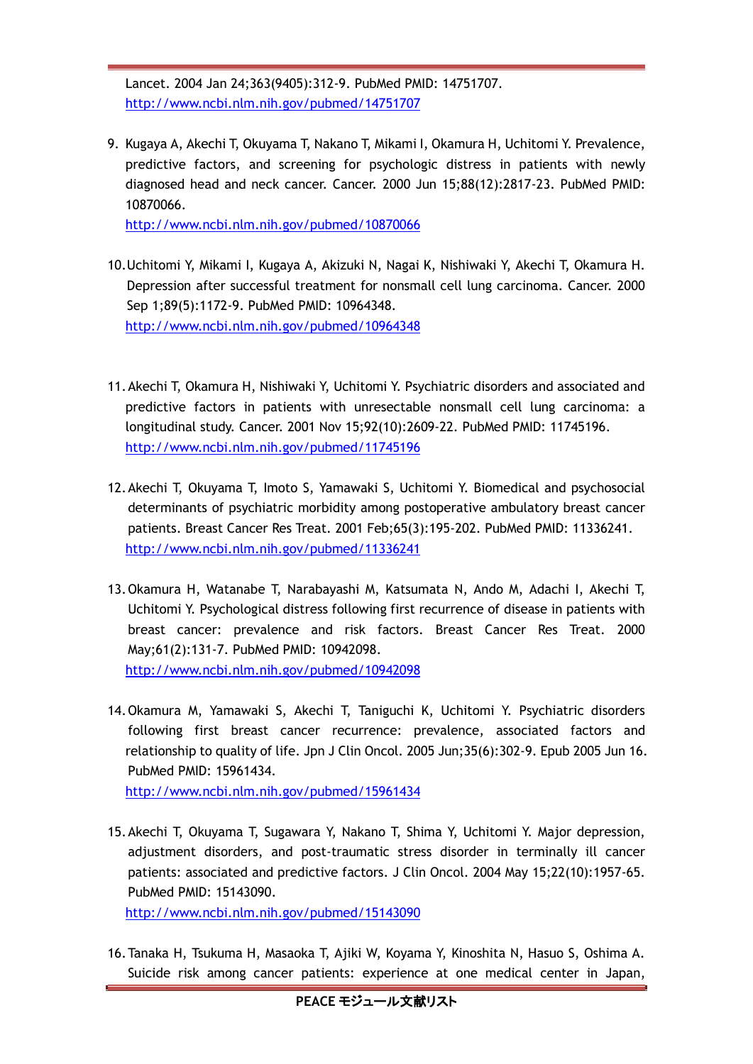Lancet. 2004 Jan 24;363(9405):312-9. PubMed PMID: 14751707. <http://www.ncbi.nlm.nih.gov/pubmed/14751707>

9. Kugaya A, Akechi T, Okuyama T, Nakano T, Mikami I, Okamura H, Uchitomi Y. Prevalence, predictive factors, and screening for psychologic distress in patients with newly diagnosed head and neck cancer. Cancer. 2000 Jun 15;88(12):2817-23. PubMed PMID: 10870066.

<http://www.ncbi.nlm.nih.gov/pubmed/10870066>

- 10.Uchitomi Y, Mikami I, Kugaya A, Akizuki N, Nagai K, Nishiwaki Y, Akechi T, Okamura H. Depression after successful treatment for nonsmall cell lung carcinoma. Cancer. 2000 Sep 1;89(5):1172-9. PubMed PMID: 10964348. <http://www.ncbi.nlm.nih.gov/pubmed/10964348>
- 11.Akechi T, Okamura H, Nishiwaki Y, Uchitomi Y. Psychiatric disorders and associated and predictive factors in patients with unresectable nonsmall cell lung carcinoma: a longitudinal study. Cancer. 2001 Nov 15;92(10):2609-22. PubMed PMID: 11745196. <http://www.ncbi.nlm.nih.gov/pubmed/11745196>
- 12.Akechi T, Okuyama T, Imoto S, Yamawaki S, Uchitomi Y. Biomedical and psychosocial determinants of psychiatric morbidity among postoperative ambulatory breast cancer patients. Breast Cancer Res Treat. 2001 Feb;65(3):195-202. PubMed PMID: 11336241. <http://www.ncbi.nlm.nih.gov/pubmed/11336241>
- 13.Okamura H, Watanabe T, Narabayashi M, Katsumata N, Ando M, Adachi I, Akechi T, Uchitomi Y. Psychological distress following first recurrence of disease in patients with breast cancer: prevalence and risk factors. Breast Cancer Res Treat. 2000 May;61(2):131-7. PubMed PMID: 10942098. <http://www.ncbi.nlm.nih.gov/pubmed/10942098>
- 14.Okamura M, Yamawaki S, Akechi T, Taniguchi K, Uchitomi Y. Psychiatric disorders following first breast cancer recurrence: prevalence, associated factors and relationship to quality of life. Jpn J Clin Oncol. 2005 Jun;35(6):302-9. Epub 2005 Jun 16. PubMed PMID: 15961434.

<http://www.ncbi.nlm.nih.gov/pubmed/15961434>

15.Akechi T, Okuyama T, Sugawara Y, Nakano T, Shima Y, Uchitomi Y. Major depression, adjustment disorders, and post-traumatic stress disorder in terminally ill cancer patients: associated and predictive factors. J Clin Oncol. 2004 May 15;22(10):1957-65. PubMed PMID: 15143090.

<http://www.ncbi.nlm.nih.gov/pubmed/15143090>

16.Tanaka H, Tsukuma H, Masaoka T, Ajiki W, Koyama Y, Kinoshita N, Hasuo S, Oshima A. Suicide risk among cancer patients: experience at one medical center in Japan,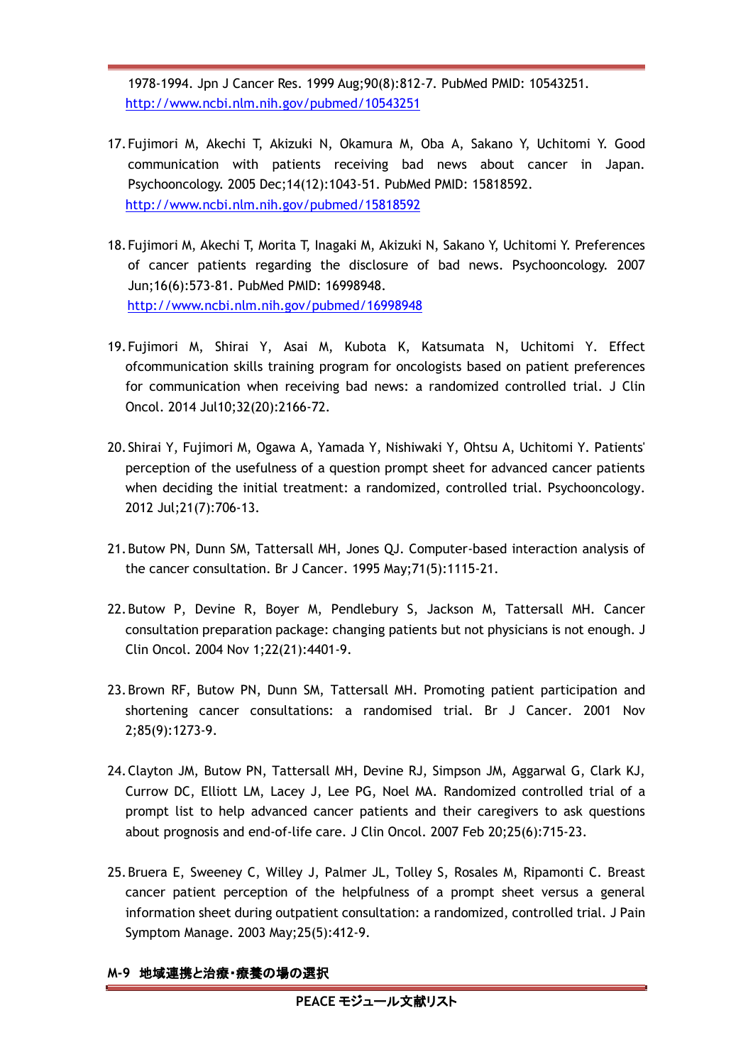1978-1994. Jpn J Cancer Res. 1999 Aug;90(8):812-7. PubMed PMID: 10543251. <http://www.ncbi.nlm.nih.gov/pubmed/10543251>

- 17.Fujimori M, Akechi T, Akizuki N, Okamura M, Oba A, Sakano Y, Uchitomi Y. Good communication with patients receiving bad news about cancer in Japan. Psychooncology. 2005 Dec;14(12):1043-51. PubMed PMID: 15818592. <http://www.ncbi.nlm.nih.gov/pubmed/15818592>
- 18.Fujimori M, Akechi T, Morita T, Inagaki M, Akizuki N, Sakano Y, Uchitomi Y. Preferences of cancer patients regarding the disclosure of bad news. Psychooncology. 2007 Jun;16(6):573-81. PubMed PMID: 16998948. <http://www.ncbi.nlm.nih.gov/pubmed/16998948>
- 19.Fujimori M, Shirai Y, Asai M, Kubota K, Katsumata N, Uchitomi Y. Effect ofcommunication skills training program for oncologists based on patient preferences for communication when receiving bad news: a randomized controlled trial. J Clin Oncol. 2014 Jul10;32(20):2166-72.
- 20.Shirai Y, Fujimori M, Ogawa A, Yamada Y, Nishiwaki Y, Ohtsu A, Uchitomi Y. Patients' perception of the usefulness of a question prompt sheet for advanced cancer patients when deciding the initial treatment: a randomized, controlled trial. Psychooncology. 2012 Jul;21(7):706-13.
- 21.Butow PN, Dunn SM, Tattersall MH, Jones QJ. Computer-based interaction analysis of the cancer consultation. Br J Cancer. 1995 May;71(5):1115-21.
- 22.Butow P, Devine R, Boyer M, Pendlebury S, Jackson M, Tattersall MH. Cancer consultation preparation package: changing patients but not physicians is not enough. J Clin Oncol. 2004 Nov 1;22(21):4401-9.
- 23.Brown RF, Butow PN, Dunn SM, Tattersall MH. Promoting patient participation and shortening cancer consultations: a randomised trial. Br J Cancer. 2001 Nov 2;85(9):1273-9.
- 24.Clayton JM, Butow PN, Tattersall MH, Devine RJ, Simpson JM, Aggarwal G, Clark KJ, Currow DC, Elliott LM, Lacey J, Lee PG, Noel MA. Randomized controlled trial of a prompt list to help advanced cancer patients and their caregivers to ask questions about prognosis and end-of-life care. J Clin Oncol. 2007 Feb 20;25(6):715-23.
- 25.Bruera E, Sweeney C, Willey J, Palmer JL, Tolley S, Rosales M, Ripamonti C. Breast cancer patient perception of the helpfulness of a prompt sheet versus a general information sheet during outpatient consultation: a randomized, controlled trial. J Pain Symptom Manage. 2003 May;25(5):412-9.

#### **M-9** 地域連携と治療・療養の場の選択